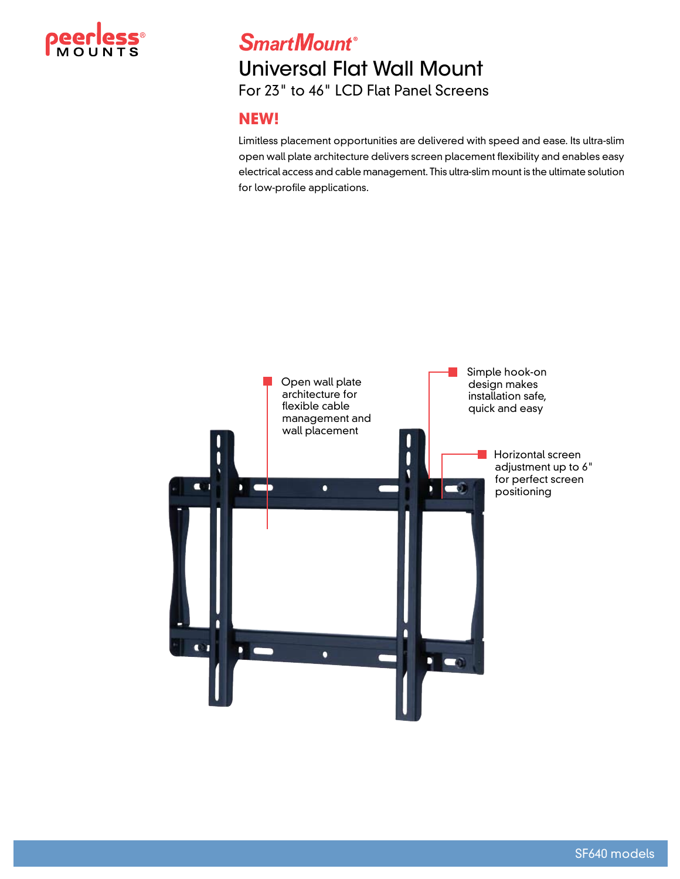

## **SmartMount®** Universal Flat Wall Mount For 23" to 46" LCD Flat Panel Screens

## **NEW!**

Limitless placement opportunities are delivered with speed and ease. Its ultra-slim open wall plate architecture delivers screen placement flexibility and enables easy electrical access and cable management. This ultra-slim mount is the ultimate solution for low-profile applications.